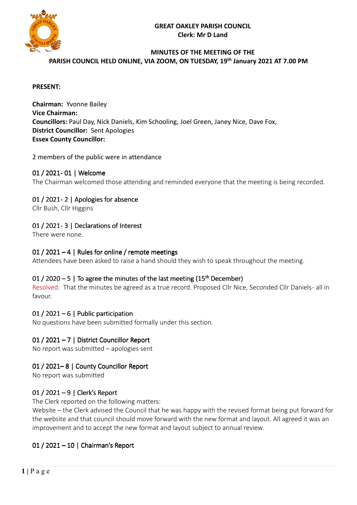### **GREAT OAKLEY PARISH COUNCIL Clerk: Mr D Land**



### **MINUTES OF THE MEETING OF THE PARISH COUNCIL HELD ONLINE, VIA ZOOM, ON TUESDAY, 19 th January 2021 AT 7.00 PM**

#### **PRESENT:**

**Chairman:** Yvonne Bailey **Vice Chairman: Councillors:** Paul Day, Nick Daniels, Kim Schooling, Joel Green, Janey Nice, Dave Fox, **District Councillor:** Sent Apologies **Essex County Councillor:** 

#### 2 members of the public were in attendance

### 01 / 2021- 01 | Welcome

The Chairman welcomed those attending and reminded everyone that the meeting is being recorded.

## 01 / 2021-2 | Apologies for absence

Cllr Bush, Cllr Higgins

### 01 / 2021-3 | Declarations of Interest

There were none.

### 01 / 2021 – 4 | Rules for online / remote meetings

Attendees have been asked to raise a hand should they wish to speak throughout the meeting.

### 01 / 2020 – 5 | To agree the minutes of the last meeting ( $15<sup>th</sup>$  December)

Resolved: That the minutes be agreed as a true record. Proposed Cllr Nice, Seconded Cllr Daniels- all in favour.

### 01 / 2021 – 6 | Public participation

No questions have been submitted formally under this section.

### 01 / 2021 – 7 | District Councillor Report

No report was submitted – apologies sent

### 01 / 2021-8 | County Councillor Report

No report was submitted

### 01 / 2021 – 9 | Clerk's Report

The Clerk reported on the following matters:

Website – the Clerk advised the Council that he was happy with the revised format being put forward for the website and that council should move forward with the new format and layout. All agreed it was an improvement and to accept the new format and layout subject to annual review.

### 01 / 2021 – 10 | Chairman's Report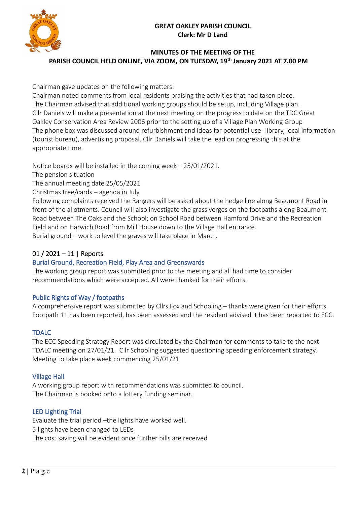#### **GREAT OAKLEY PARISH COUNCIL Clerk: Mr D Land**



## **MINUTES OF THE MEETING OF THE PARISH COUNCIL HELD ONLINE, VIA ZOOM, ON TUESDAY, 19 th January 2021 AT 7.00 PM**

Chairman gave updates on the following matters:

Chairman noted comments from local residents praising the activities that had taken place. The Chairman advised that additional working groups should be setup, including Village plan. Cllr Daniels will make a presentation at the next meeting on the progress to date on the TDC Great Oakley Conservation Area Review 2006 prior to the setting up of a Village Plan Working Group The phone box was discussed around refurbishment and ideas for potential use-library, local information (tourist bureau), advertising proposal. Cllr Daniels will take the lead on progressing this at the appropriate time.

Notice boards will be installed in the coming week – 25/01/2021.

The pension situation

The annual meeting date 25/05/2021

Christmas tree/cards – agenda in July

Following complaints received the Rangers will be asked about the hedge line along Beaumont Road in front of the allotments. Council will also investigate the grass verges on the footpaths along Beaumont Road between The Oaks and the School; on School Road between Hamford Drive and the Recreation Field and on Harwich Road from Mill House down to the Village Hall entrance. Burial ground – work to level the graves will take place in March.

# 01 / 2021 – 11 | Reports

# Burial Ground, Recreation Field, Play Area and Greenswards

The working group report was submitted prior to the meeting and all had time to consider recommendations which were accepted. All were thanked for their efforts.

### Public Rights of Way / footpaths

A comprehensive report was submitted by Cllrs Fox and Schooling – thanks were given for their efforts. Footpath 11 has been reported, has been assessed and the resident advised it has been reported to ECC.

### TDALC

The ECC Speeding Strategy Report was circulated by the Chairman for comments to take to the next TDALC meeting on 27/01/21. Cllr Schooling suggested questioning speeding enforcement strategy. Meeting to take place week commencing 25/01/21

### Village Hall

A working group report with recommendations was submitted to council. The Chairman is booked onto a lottery funding seminar.

# LED Lighting Trial

Evaluate the trial period –the lights have worked well. 5 lights have been changed to LEDs The cost saving will be evident once further bills are received